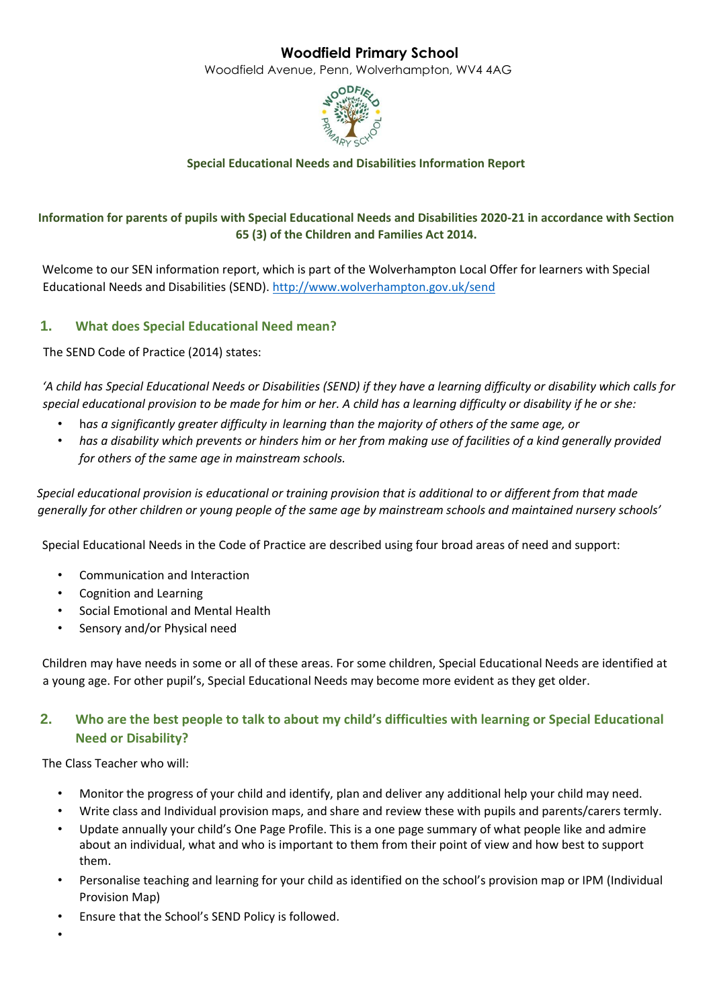# **Woodfield Primary School**

Woodfield Avenue, Penn, Wolverhampton, WV4 4AG



## **Special Educational Needs and Disabilities Information Report**

## **Information for parents of pupils with Special Educational Needs and Disabilities 2020-21 in accordance with Section 65 (3) of the Children and Families Act 2014.**

Welcome to our SEN information report, which is part of the Wolverhampton Local Offer for learners with Special Educational Needs and Disabilities (SEND)[. http://www.wolverhampton.gov.uk/send](http://www.wolverhampton.gov.uk/send) 

## **1. What does Special Educational Need mean?**

The SEND Code of Practice (2014) states:

*'A child has Special Educational Needs or Disabilities (SEND) if they have a learning difficulty or disability which calls for special educational provision to be made for him or her. A child has a learning difficulty or disability if he or she:* 

- h*as a significantly greater difficulty in learning than the majority of others of the same age, or*
- *has a disability which prevents or hinders him or her from making use of facilities of a kind generally provided for others of the same age in mainstream schools.*

*Special educational provision is educational or training provision that is additional to or different from that made generally for other children or young people of the same age by mainstream schools and maintained nursery schools'* 

Special Educational Needs in the Code of Practice are described using four broad areas of need and support:

- Communication and Interaction
- Cognition and Learning
- Social Emotional and Mental Health
- Sensory and/or Physical need

Children may have needs in some or all of these areas. For some children, Special Educational Needs are identified at a young age. For other pupil's, Special Educational Needs may become more evident as they get older.

## **2. Who are the best people to talk to about my child's difficulties with learning or Special Educational Need or Disability?**

The Class Teacher who will:

- Monitor the progress of your child and identify, plan and deliver any additional help your child may need.
- Write class and Individual provision maps, and share and review these with pupils and parents/carers termly.
- Update annually your child's One Page Profile. This is a one page summary of what people like and admire about an individual, what and who is important to them from their point of view and how best to support them.
- Personalise teaching and learning for your child as identified on the school's provision map or IPM (Individual Provision Map)
- Ensure that the School's SEND Policy is followed.
- •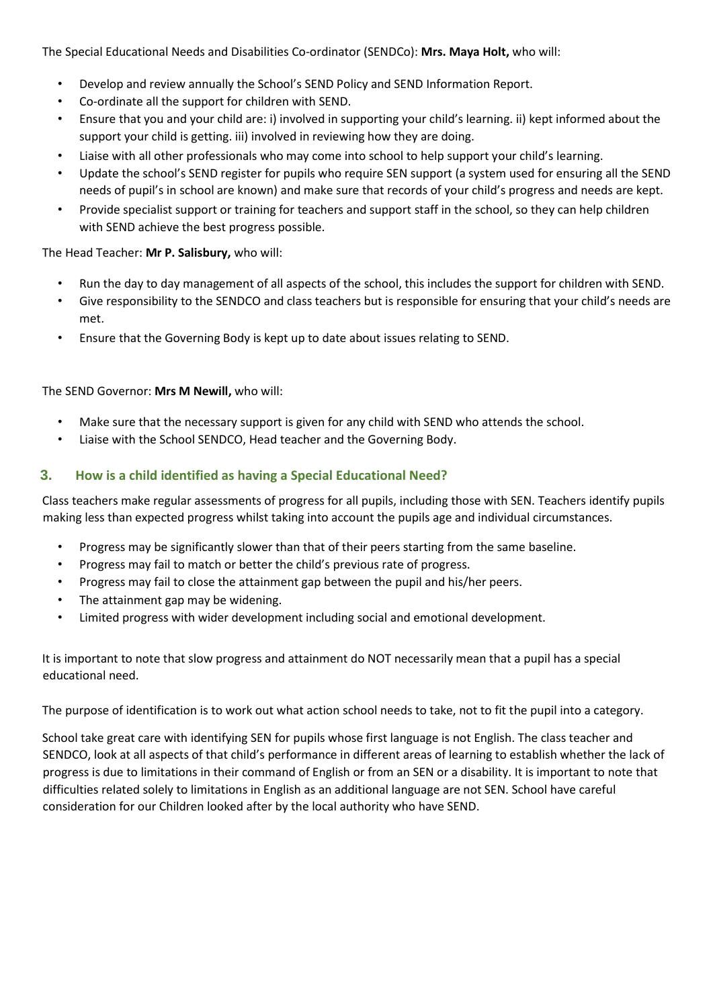The Special Educational Needs and Disabilities Co-ordinator (SENDCo): **Mrs. Maya Holt,** who will:

- Develop and review annually the School's SEND Policy and SEND Information Report.
- Co-ordinate all the support for children with SEND.
- Ensure that you and your child are: i) involved in supporting your child's learning. ii) kept informed about the support your child is getting. iii) involved in reviewing how they are doing.
- Liaise with all other professionals who may come into school to help support your child's learning.
- Update the school's SEND register for pupils who require SEN support (a system used for ensuring all the SEND needs of pupil's in school are known) and make sure that records of your child's progress and needs are kept.
- Provide specialist support or training for teachers and support staff in the school, so they can help children with SEND achieve the best progress possible.

### The Head Teacher: **Mr P. Salisbury,** who will:

- Run the day to day management of all aspects of the school, this includes the support for children with SEND.
- Give responsibility to the SENDCO and class teachers but is responsible for ensuring that your child's needs are met.
- Ensure that the Governing Body is kept up to date about issues relating to SEND.

The SEND Governor: **Mrs M Newill,** who will:

- Make sure that the necessary support is given for any child with SEND who attends the school.
- Liaise with the School SENDCO, Head teacher and the Governing Body.

### **3. How is a child identified as having a Special Educational Need?**

Class teachers make regular assessments of progress for all pupils, including those with SEN. Teachers identify pupils making less than expected progress whilst taking into account the pupils age and individual circumstances.

- Progress may be significantly slower than that of their peers starting from the same baseline.
- Progress may fail to match or better the child's previous rate of progress.
- Progress may fail to close the attainment gap between the pupil and his/her peers.
- The attainment gap may be widening.
- Limited progress with wider development including social and emotional development.

It is important to note that slow progress and attainment do NOT necessarily mean that a pupil has a special educational need.

The purpose of identification is to work out what action school needs to take, not to fit the pupil into a category.

School take great care with identifying SEN for pupils whose first language is not English. The class teacher and SENDCO, look at all aspects of that child's performance in different areas of learning to establish whether the lack of progress is due to limitations in their command of English or from an SEN or a disability. It is important to note that difficulties related solely to limitations in English as an additional language are not SEN. School have careful consideration for our Children looked after by the local authority who have SEND.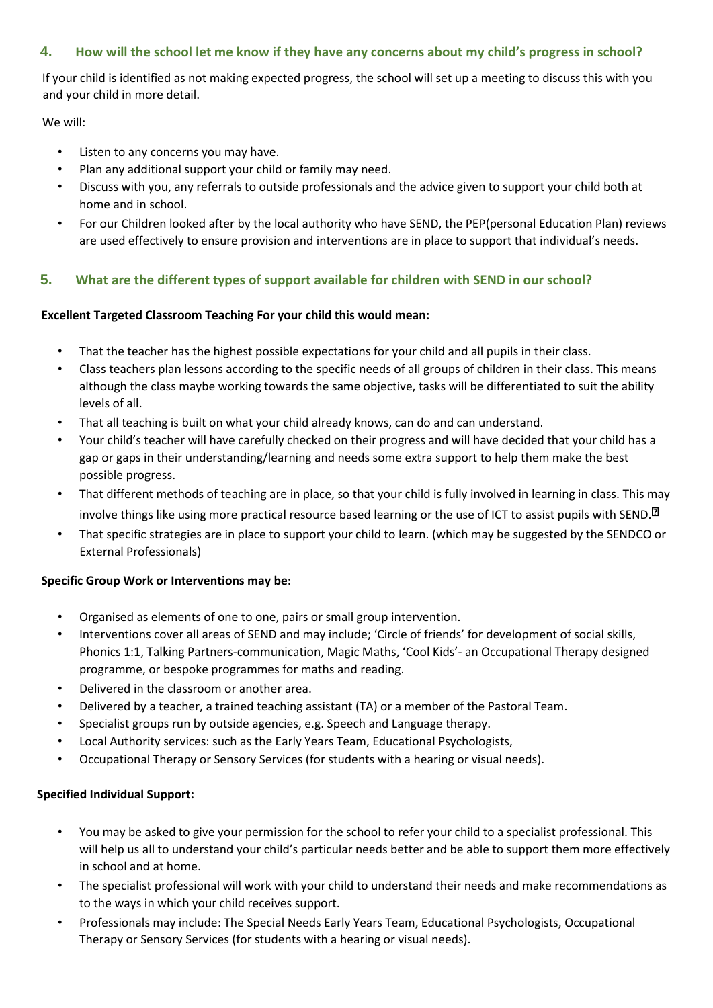## **4. How will the school let me know if they have any concerns about my child's progress in school?**

If your child is identified as not making expected progress, the school will set up a meeting to discuss this with you and your child in more detail.

We will:

- Listen to any concerns you may have.
- Plan any additional support your child or family may need.
- Discuss with you, any referrals to outside professionals and the advice given to support your child both at home and in school.
- For our Children looked after by the local authority who have SEND, the PEP(personal Education Plan) reviews are used effectively to ensure provision and interventions are in place to support that individual's needs.

### **5. What are the different types of support available for children with SEND in our school?**

### **Excellent Targeted Classroom Teaching For your child this would mean:**

- That the teacher has the highest possible expectations for your child and all pupils in their class.
- Class teachers plan lessons according to the specific needs of all groups of children in their class. This means although the class maybe working towards the same objective, tasks will be differentiated to suit the ability levels of all.
- That all teaching is built on what your child already knows, can do and can understand.
- Your child's teacher will have carefully checked on their progress and will have decided that your child has a gap or gaps in their understanding/learning and needs some extra support to help them make the best possible progress.
- That different methods of teaching are in place, so that your child is fully involved in learning in class. This may involve things like using more practical resource based learning or the use of ICT to assist pupils with SEND.<sup>[2]</sup>
- That specific strategies are in place to support your child to learn. (which may be suggested by the SENDCO or External Professionals)

### **Specific Group Work or Interventions may be:**

- Organised as elements of one to one, pairs or small group intervention.
- Interventions cover all areas of SEND and may include; 'Circle of friends' for development of social skills, Phonics 1:1, Talking Partners-communication, Magic Maths, 'Cool Kids'- an Occupational Therapy designed programme, or bespoke programmes for maths and reading.
- Delivered in the classroom or another area.
- Delivered by a teacher, a trained teaching assistant (TA) or a member of the Pastoral Team.
- Specialist groups run by outside agencies, e.g. Speech and Language therapy.
- Local Authority services: such as the Early Years Team, Educational Psychologists,
- Occupational Therapy or Sensory Services (for students with a hearing or visual needs).

### **Specified Individual Support:**

- You may be asked to give your permission for the school to refer your child to a specialist professional. This will help us all to understand your child's particular needs better and be able to support them more effectively in school and at home.
- The specialist professional will work with your child to understand their needs and make recommendations as to the ways in which your child receives support.
- Professionals may include: The Special Needs Early Years Team, Educational Psychologists, Occupational Therapy or Sensory Services (for students with a hearing or visual needs).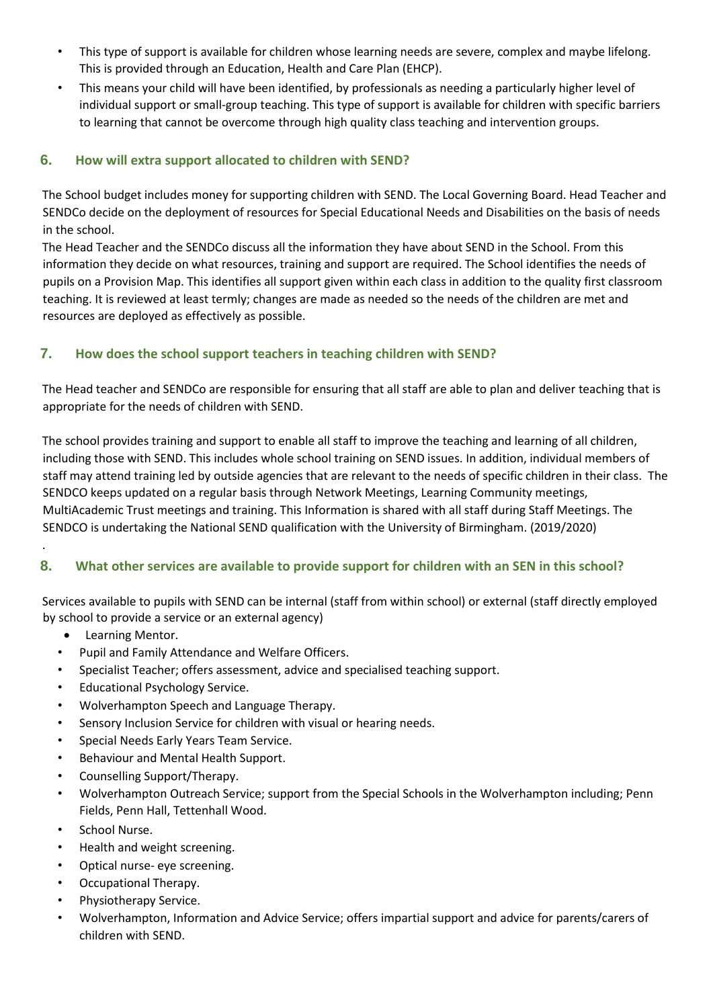- This type of support is available for children whose learning needs are severe, complex and maybe lifelong. This is provided through an Education, Health and Care Plan (EHCP).
- This means your child will have been identified, by professionals as needing a particularly higher level of individual support or small-group teaching. This type of support is available for children with specific barriers to learning that cannot be overcome through high quality class teaching and intervention groups.

## **6. How will extra support allocated to children with SEND?**

The School budget includes money for supporting children with SEND. The Local Governing Board. Head Teacher and SENDCo decide on the deployment of resources for Special Educational Needs and Disabilities on the basis of needs in the school.

The Head Teacher and the SENDCo discuss all the information they have about SEND in the School. From this information they decide on what resources, training and support are required. The School identifies the needs of pupils on a Provision Map. This identifies all support given within each class in addition to the quality first classroom teaching. It is reviewed at least termly; changes are made as needed so the needs of the children are met and resources are deployed as effectively as possible.

## **7. How does the school support teachers in teaching children with SEND?**

The Head teacher and SENDCo are responsible for ensuring that all staff are able to plan and deliver teaching that is appropriate for the needs of children with SEND.

The school provides training and support to enable all staff to improve the teaching and learning of all children, including those with SEND. This includes whole school training on SEND issues. In addition, individual members of staff may attend training led by outside agencies that are relevant to the needs of specific children in their class. The SENDCO keeps updated on a regular basis through Network Meetings, Learning Community meetings, MultiAcademic Trust meetings and training. This Information is shared with all staff during Staff Meetings. The SENDCO is undertaking the National SEND qualification with the University of Birmingham. (2019/2020)

# **8. What other services are available to provide support for children with an SEN in this school?**

Services available to pupils with SEND can be internal (staff from within school) or external (staff directly employed by school to provide a service or an external agency)

• Learning Mentor.

.

- Pupil and Family Attendance and Welfare Officers.
- Specialist Teacher; offers assessment, advice and specialised teaching support.
- Educational Psychology Service.
- Wolverhampton Speech and Language Therapy.
- Sensory Inclusion Service for children with visual or hearing needs.
- Special Needs Early Years Team Service.
- Behaviour and Mental Health Support.
- Counselling Support/Therapy.
- Wolverhampton Outreach Service; support from the Special Schools in the Wolverhampton including; Penn Fields, Penn Hall, Tettenhall Wood.
- School Nurse.
- Health and weight screening.
- Optical nurse- eye screening.
- Occupational Therapy.
- Physiotherapy Service.
- Wolverhampton, Information and Advice Service; offers impartial support and advice for parents/carers of children with SEND.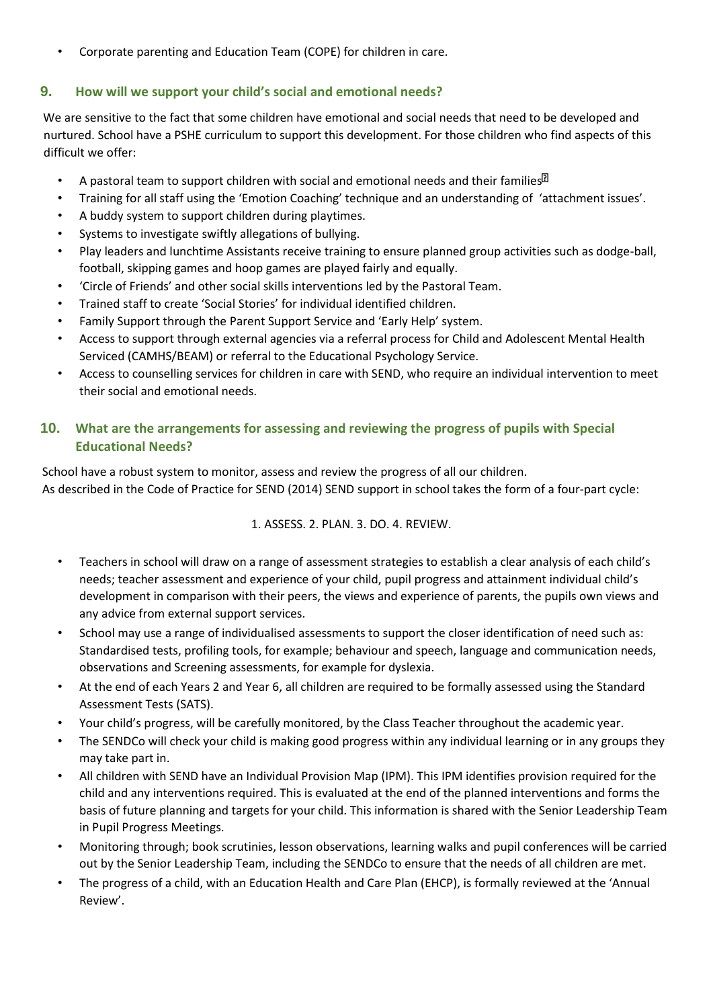• Corporate parenting and Education Team (COPE) for children in care.

### **9. How will we support your child's social and emotional needs?**

We are sensitive to the fact that some children have emotional and social needs that need to be developed and nurtured. School have a PSHE curriculum to support this development. For those children who find aspects of this difficult we offer:

- A pastoral team to support children with social and emotional needs and their families  $\mathbb{R}^3$
- Training for all staff using the 'Emotion Coaching' technique and an understanding of 'attachment issues'.
- A buddy system to support children during playtimes.
- Systems to investigate swiftly allegations of bullying.
- Play leaders and lunchtime Assistants receive training to ensure planned group activities such as dodge-ball, football, skipping games and hoop games are played fairly and equally.
- 'Circle of Friends' and other social skills interventions led by the Pastoral Team.
- Trained staff to create 'Social Stories' for individual identified children.
- Family Support through the Parent Support Service and 'Early Help' system.
- Access to support through external agencies via a referral process for Child and Adolescent Mental Health Serviced (CAMHS/BEAM) or referral to the Educational Psychology Service.
- Access to counselling services for children in care with SEND, who require an individual intervention to meet their social and emotional needs.

## **10. What are the arrangements for assessing and reviewing the progress of pupils with Special Educational Needs?**

School have a robust system to monitor, assess and review the progress of all our children. As described in the Code of Practice for SEND (2014) SEND support in school takes the form of a four-part cycle:

### 1. ASSESS. 2. PLAN. 3. DO. 4. REVIEW.

- Teachers in school will draw on a range of assessment strategies to establish a clear analysis of each child's needs; teacher assessment and experience of your child, pupil progress and attainment individual child's development in comparison with their peers, the views and experience of parents, the pupils own views and any advice from external support services.
- School may use a range of individualised assessments to support the closer identification of need such as: Standardised tests, profiling tools, for example; behaviour and speech, language and communication needs, observations and Screening assessments, for example for dyslexia.
- At the end of each Years 2 and Year 6, all children are required to be formally assessed using the Standard Assessment Tests (SATS).
- Your child's progress, will be carefully monitored, by the Class Teacher throughout the academic year.
- The SENDCo will check your child is making good progress within any individual learning or in any groups they may take part in.
- All children with SEND have an Individual Provision Map (IPM). This IPM identifies provision required for the child and any interventions required. This is evaluated at the end of the planned interventions and forms the basis of future planning and targets for your child. This information is shared with the Senior Leadership Team in Pupil Progress Meetings.
- Monitoring through; book scrutinies, lesson observations, learning walks and pupil conferences will be carried out by the Senior Leadership Team, including the SENDCo to ensure that the needs of all children are met.
- The progress of a child, with an Education Health and Care Plan (EHCP), is formally reviewed at the 'Annual Review'.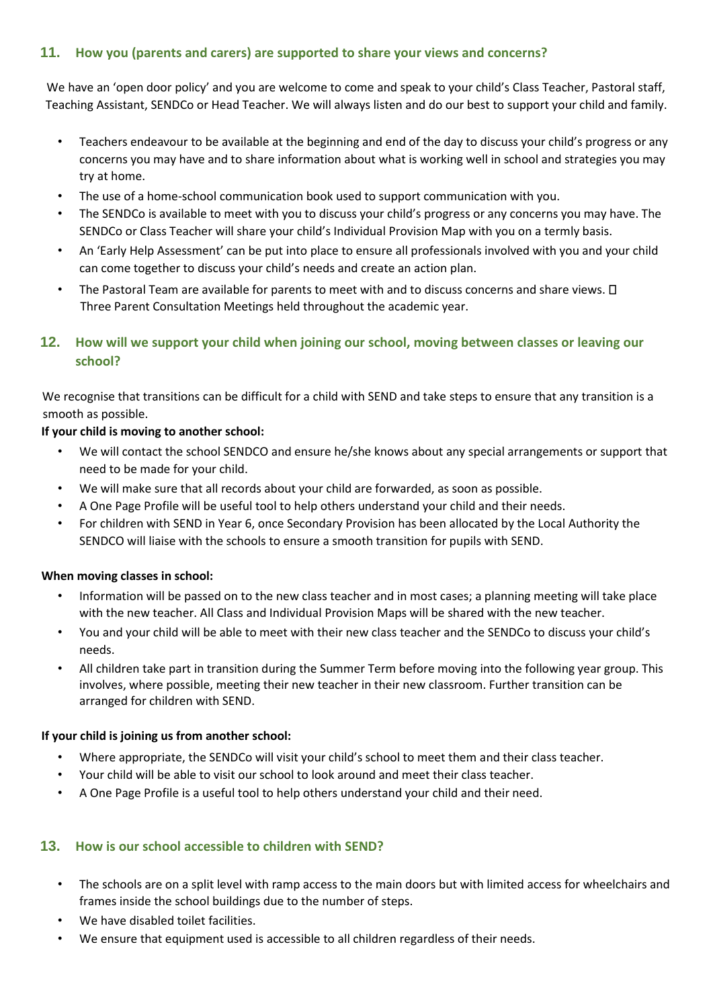## **11. How you (parents and carers) are supported to share your views and concerns?**

We have an 'open door policy' and you are welcome to come and speak to your child's Class Teacher, Pastoral staff, Teaching Assistant, SENDCo or Head Teacher. We will always listen and do our best to support your child and family.

- Teachers endeavour to be available at the beginning and end of the day to discuss your child's progress or any concerns you may have and to share information about what is working well in school and strategies you may try at home.
- The use of a home-school communication book used to support communication with you.
- The SENDCo is available to meet with you to discuss your child's progress or any concerns you may have. The SENDCo or Class Teacher will share your child's Individual Provision Map with you on a termly basis.
- An 'Early Help Assessment' can be put into place to ensure all professionals involved with you and your child can come together to discuss your child's needs and create an action plan.
- The Pastoral Team are available for parents to meet with and to discuss concerns and share views.  $\Box$ Three Parent Consultation Meetings held throughout the academic year.

## **12. How will we support your child when joining our school, moving between classes or leaving our school?**

We recognise that transitions can be difficult for a child with SEND and take steps to ensure that any transition is a smooth as possible.

### **If your child is moving to another school:**

- We will contact the school SENDCO and ensure he/she knows about any special arrangements or support that need to be made for your child.
- We will make sure that all records about your child are forwarded, as soon as possible.
- A One Page Profile will be useful tool to help others understand your child and their needs.
- For children with SEND in Year 6, once Secondary Provision has been allocated by the Local Authority the SENDCO will liaise with the schools to ensure a smooth transition for pupils with SEND.

#### **When moving classes in school:**

- Information will be passed on to the new class teacher and in most cases; a planning meeting will take place with the new teacher. All Class and Individual Provision Maps will be shared with the new teacher.
- You and your child will be able to meet with their new class teacher and the SENDCo to discuss your child's needs.
- All children take part in transition during the Summer Term before moving into the following year group. This involves, where possible, meeting their new teacher in their new classroom. Further transition can be arranged for children with SEND.

#### **If your child is joining us from another school:**

- Where appropriate, the SENDCo will visit your child's school to meet them and their class teacher.
- Your child will be able to visit our school to look around and meet their class teacher.
- A One Page Profile is a useful tool to help others understand your child and their need.

### **13. How is our school accessible to children with SEND?**

- The schools are on a split level with ramp access to the main doors but with limited access for wheelchairs and frames inside the school buildings due to the number of steps.
- We have disabled toilet facilities.
- We ensure that equipment used is accessible to all children regardless of their needs.